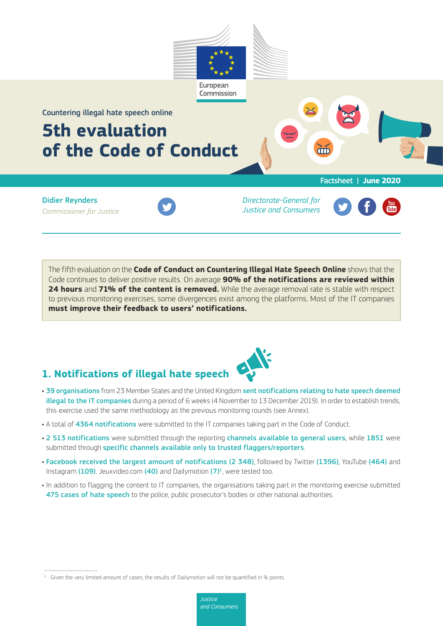

Countering illegal hate speech online

# **5th evaluation of the Code of Conduct**

Factsheet | **June 2020**

Didier Reynders *Commissioner for Justice*



*Directorate-General for Justice and Consumers*



The fifth evaluation on the **Code of Conduct on Countering Illegal Hate Speech Online** shows that the Code continues to deliver positive results. On average **90% of the notifications are reviewed within 24 hours** and **71% of the content is removed.** While the average removal rate is stable with respect to previous monitoring exercises, some divergences exist among the platforms. Most of the IT companies **must improve their feedback to users' notifications.**

## **1. Notifications of illegal hate speech**



- 39 organisations from 23 Member States and the United Kingdom sent notifications relating to hate speech deemed illegal to the IT companies during a period of 6 weeks (4 November to 13 December 2019). In order to establish trends, this exercise used the same methodology as the previous monitoring rounds (see Annex).
- A total of 4364 notifications were submitted to the IT companies taking part in the Code of Conduct.
- 2 513 notifications were submitted through the reporting channels available to general users, while 1851 were submitted through specific channels available only to trusted flaggers/reporters.
- Facebook received the largest amount of notifications (2 348), followed by Twitter (1396), YouTube (464) and Instagram (109). Jeuxvideo.com (40) and Dailymotion  $(7)^1$ , were tested too.
- In addition to flagging the content to IT companies, the organisations taking part in the monitoring exercise submitted 475 cases of hate speech to the police, public prosecutor's bodies or other national authorities.

 $1$  Given the very limited amount of cases, the results of Dailymotion will not be quantified in  $\%$  points.

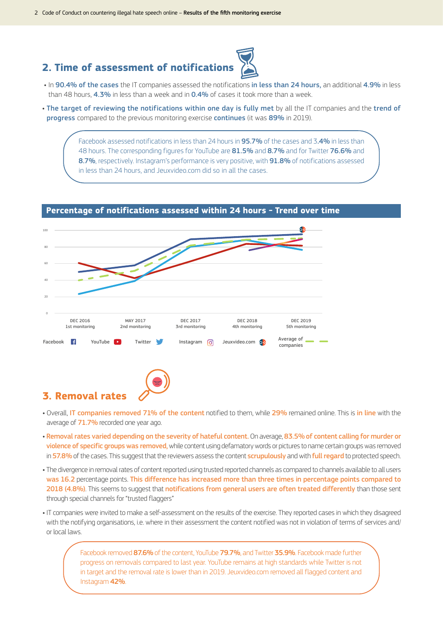### **2. Time of assessment of notifications**



- In 90.4% of the cases the IT companies assessed the notifications in less than 24 hours, an additional 4.9% in less than 48 hours, 4.3% in less than a week and in 0.4% of cases it took more than a week.
- The target of reviewing the notifications within one day is fully met by all the IT companies and the trend of progress compared to the previous monitoring exercise continues (it was 89% in 2019).

Facebook assessed notifications in less than 24 hours in 95.7% of the cases and 3.4% in less than 48 hours. The corresponding figures for YouTube are 81.5% and 8.7% and for Twitter 76.6% and 8.7%, respectively. Instagram's performance is very positive, with 91.8% of notifications assessed in less than 24 hours, and Jeuxvideo.com did so in all the cases.



### **Percentage of notifications assessed within 24 hours - Trend over time**



- Overall, IT companies removed 71% of the content notified to them, while 29% remained online. This is in line with the average of 71.7% recorded one year ago.
- Removal rates varied depending on the severity of hateful content. On average, 83.5% of content calling for murder or violence of specific groups was removed, while content using defamatory words or pictures to name certain groups was removed in 57.8% of the cases. This suggest that the reviewers assess the content **scrupulously** and with full regard to protected speech.
- The divergence in removal rates of content reported using trusted reported channels as compared to channels available to all users was 16.2 percentage points. This difference has increased more than three times in percentage points compared to 2018 (4.8%). This seems to suggest that notifications from general users are often treated differently than those sent through special channels for "trusted flaggers"
- IT companies were invited to make a self-assessment on the results of the exercise. They reported cases in which they disagreed with the notifying organisations, i.e. where in their assessment the content notified was not in violation of terms of services and/ or local laws.

Facebook removed 87.6% of the content, YouTube 79.7%, and Twitter 35.9%. Facebook made further progress on removals compared to last year. YouTube remains at high standards while Twitter is not in target and the removal rate is lower than in 2019. Jeuxvideo.com removed all flagged content and Instagram 42%.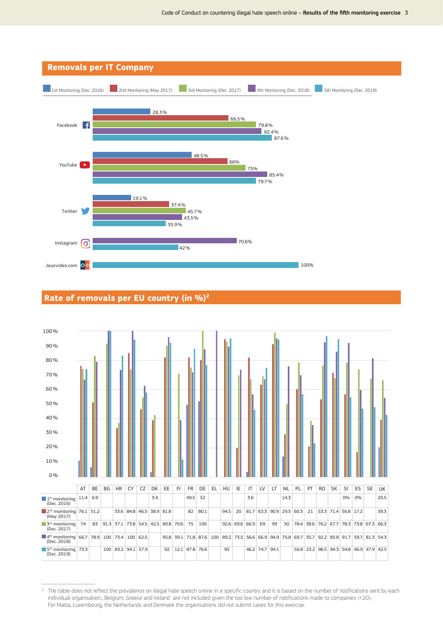

#### **Rate of removals per EU country (in %)2** 120.0% Rate of removals per EU country (in %) (1)



 $^2$  The table does not reflect the prevalence on illegal hate speech online in a specific country and it is based on the number of notifications sent by each individual organisation., Belgium, Greece and Ireland are not included given the too low number of notifications made to companies (<20). For Malta, Luxembourg, the Netherlands and Denmark the organisations did not submit cases for this exercise.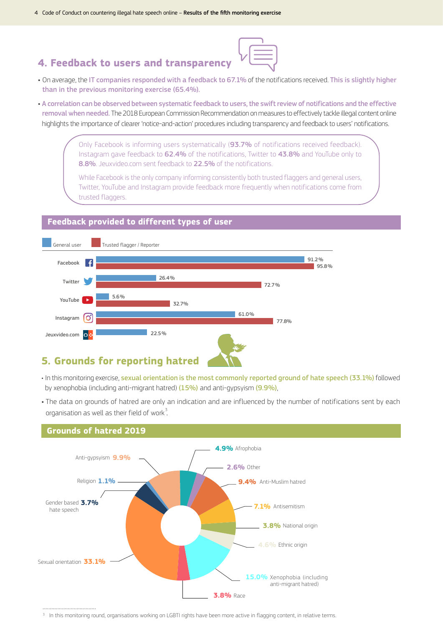### **4. Feedback to users and transparency**

- On average, the IT companies responded with a feedback to 67.1% of the notifications received. This is slightly higher than in the previous monitoring exercise (65.4%).
- A correlation can be observed between systematic feedback to users, the swift review of notifications and the effective removal when needed. The 2018 European Commission Recommendation on measures to effectively tackle illegal content online highlights the importance of clearer 'notice-and-action' procedures including transparency and feedback to users' notifications.

Only Facebook is informing users systematically (93.7% of notifications received feedback). Instagram gave feedback to 62.4% of the notifications, Twitter to 43.8% and YouTube only to 8.8%. Jeuxvideo.com sent feedback to 22.5% of the notifications.

While Facebook is the only company informing consistently both trusted flaggers and general users, Twitter, YouTube and Instagram provide feedback more frequently when notifications come from trusted flaggers.

### **Feedback provided to different types of user**



### **5. Grounds for reporting hatred**

- · In this monitoring exercise, sexual orientation is the most commonly reported ground of hate speech (33.1%) followed by xenophobia (including anti-migrant hatred) (15%) and anti-gypsyism (9.9%),
- The data on grounds of hatred are only an indication and are influenced by the number of notifications sent by each organisation as well as their field of work $3$ .



#### **Grounds of hatred 2019**

<sup>&</sup>lt;sup>3</sup> In this monitoring round, organisations working on LGBTI rights have been more active in flagging content, in relative terms.